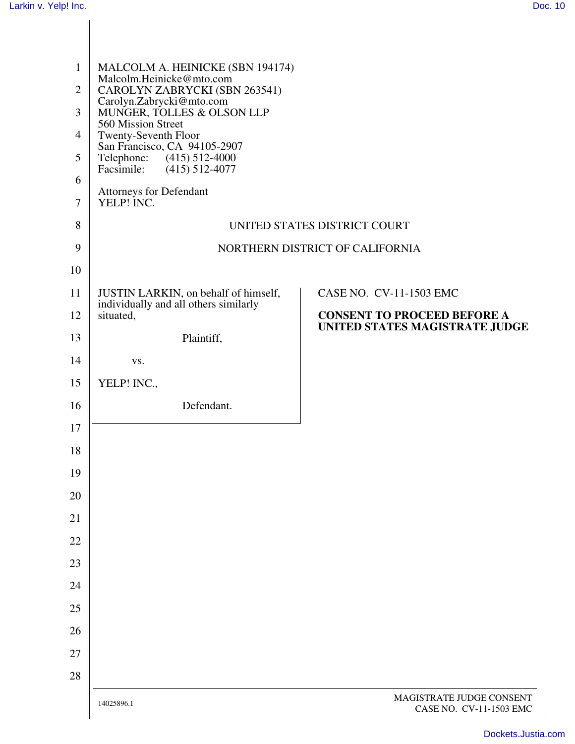| $\mathbf{1}$<br>$\mathbf{2}$<br>3<br>$\overline{4}$<br>5<br>6<br>$\tau$ | MALCOLM A. HEINICKE (SBN 194174)<br>Malcolm.Heinicke@mto.com<br>CAROLYN ZABRYCKI (SBN 263541)<br>Carolyn.Zabrycki@mto.com<br>MUNGER, TOLLES & OLSON LLP<br>560 Mission Street<br>Twenty-Seventh Floor<br>San Francisco, CA 94105-2907<br>Telephone: (415) 512-4000<br>Facsimile: (415) 512-4077<br>Attorneys for Defendant<br>YELP! INC. |                                                     |
|-------------------------------------------------------------------------|------------------------------------------------------------------------------------------------------------------------------------------------------------------------------------------------------------------------------------------------------------------------------------------------------------------------------------------|-----------------------------------------------------|
| 8                                                                       | UNITED STATES DISTRICT COURT                                                                                                                                                                                                                                                                                                             |                                                     |
| 9                                                                       | NORTHERN DISTRICT OF CALIFORNIA                                                                                                                                                                                                                                                                                                          |                                                     |
| 10                                                                      |                                                                                                                                                                                                                                                                                                                                          |                                                     |
| 11                                                                      | JUSTIN LARKIN, on behalf of himself,                                                                                                                                                                                                                                                                                                     | CASE NO. CV-11-1503 EMC                             |
| 12                                                                      | individually and all others similarly<br>situated,                                                                                                                                                                                                                                                                                       | <b>CONSENT TO PROCEED BEFORE A</b>                  |
| 13                                                                      | Plaintiff,                                                                                                                                                                                                                                                                                                                               | UNITED STATES MAGISTRATE JUDGE                      |
| 14                                                                      | VS.                                                                                                                                                                                                                                                                                                                                      |                                                     |
| 15                                                                      | YELP! INC.,                                                                                                                                                                                                                                                                                                                              |                                                     |
| 16                                                                      | Defendant.                                                                                                                                                                                                                                                                                                                               |                                                     |
| 17                                                                      |                                                                                                                                                                                                                                                                                                                                          |                                                     |
| 18                                                                      |                                                                                                                                                                                                                                                                                                                                          |                                                     |
| 19                                                                      |                                                                                                                                                                                                                                                                                                                                          |                                                     |
| 20                                                                      |                                                                                                                                                                                                                                                                                                                                          |                                                     |
| 21                                                                      |                                                                                                                                                                                                                                                                                                                                          |                                                     |
| 22                                                                      |                                                                                                                                                                                                                                                                                                                                          |                                                     |
| 23                                                                      |                                                                                                                                                                                                                                                                                                                                          |                                                     |
| 24                                                                      |                                                                                                                                                                                                                                                                                                                                          |                                                     |
| 25                                                                      |                                                                                                                                                                                                                                                                                                                                          |                                                     |
| 26<br>27                                                                |                                                                                                                                                                                                                                                                                                                                          |                                                     |
| 28                                                                      |                                                                                                                                                                                                                                                                                                                                          |                                                     |
|                                                                         | 14025896.1                                                                                                                                                                                                                                                                                                                               | MAGISTRATE JUDGE CONSENT<br>CASE NO. CV-11-1503 EMC |